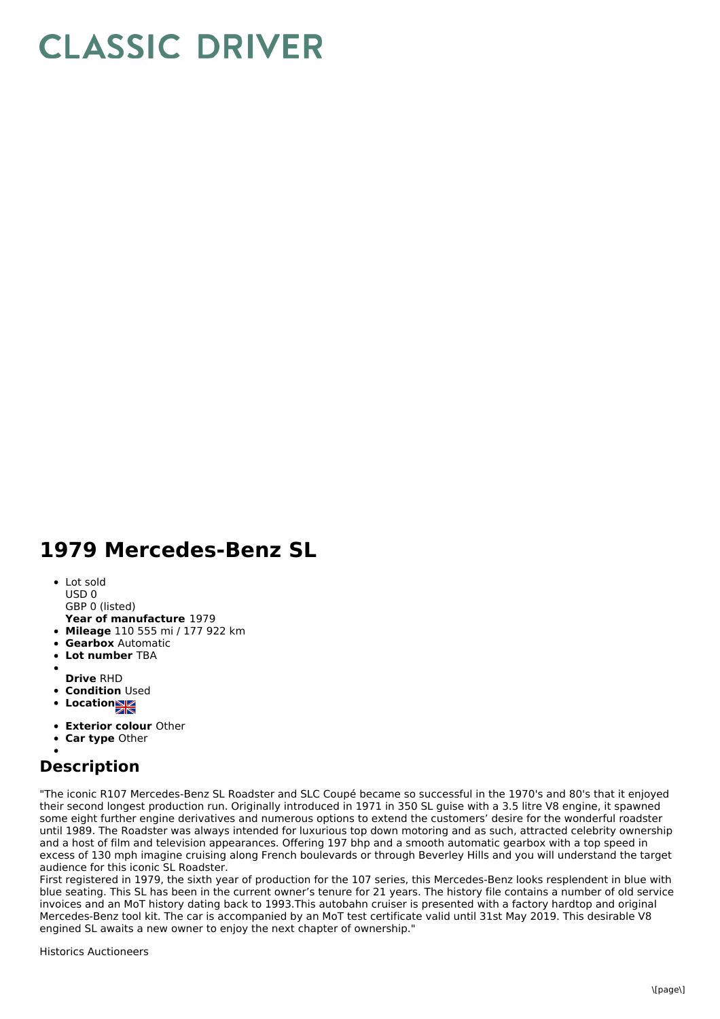## **CLASSIC DRIVER**

## **1979 Mercedes-Benz SL**

- Lot sold USD 0
- GBP 0 (listed)
- **Year of manufacture** 1979
- **Mileage** 110 555 mi / 177 922 km
- **Gearbox** Automatic
- **Lot number** TBA
- 
- **Drive** RHD
- **Condition Used**
- **Locations**
- **Exterior colour** Other
- **Car type** Other

## **Description**

"The iconic R107 Mercedes-Benz SL Roadster and SLC Coupé became so successful in the 1970's and 80's that it enjoyed their second longest production run. Originally introduced in 1971 in 350 SL guise with a 3.5 litre V8 engine, it spawned some eight further engine derivatives and numerous options to extend the customers' desire for the wonderful roadster until 1989. The Roadster was always intended for luxurious top down motoring and as such, attracted celebrity ownership and a host of film and television appearances. Offering 197 bhp and a smooth automatic gearbox with a top speed in excess of 130 mph imagine cruising along French boulevards or through Beverley Hills and you will understand the target audience for this iconic SL Roadster.

First registered in 1979, the sixth year of production for the 107 series, this Mercedes-Benz looks resplendent in blue with blue seating. This SL has been in the current owner's tenure for 21 years. The history file contains a number of old service invoices and an MoT history dating back to 1993.This autobahn cruiser is presented with a factory hardtop and original Mercedes-Benz tool kit. The car is accompanied by an MoT test certificate valid until 31st May 2019. This desirable V8 engined SL awaits a new owner to enjoy the next chapter of ownership."

Historics Auctioneers